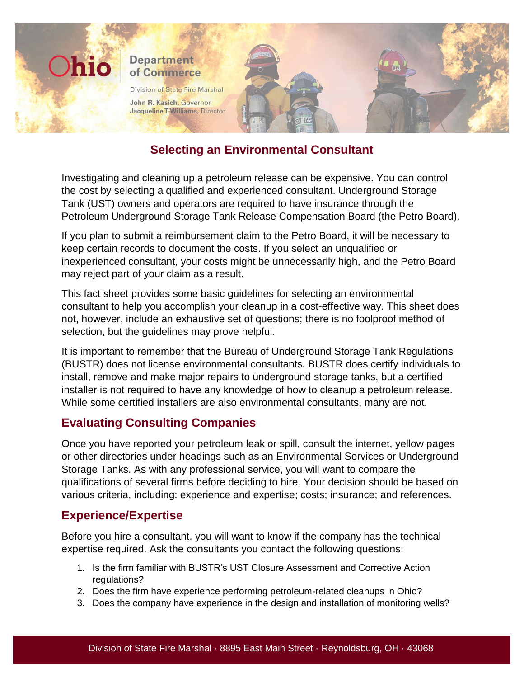

# **Selecting an Environmental Consultant**

Investigating and cleaning up a petroleum release can be expensive. You can control the cost by selecting a qualified and experienced consultant. Underground Storage Tank (UST) owners and operators are required to have insurance through the Petroleum Underground Storage Tank Release Compensation Board (the Petro Board).

If you plan to submit a reimbursement claim to the Petro Board, it will be necessary to keep certain records to document the costs. If you select an unqualified or inexperienced consultant, your costs might be unnecessarily high, and the Petro Board may reject part of your claim as a result.

This fact sheet provides some basic guidelines for selecting an environmental consultant to help you accomplish your cleanup in a cost-effective way. This sheet does not, however, include an exhaustive set of questions; there is no foolproof method of selection, but the guidelines may prove helpful.

It is important to remember that the Bureau of Underground Storage Tank Regulations (BUSTR) does not license environmental consultants. BUSTR does certify individuals to install, remove and make major repairs to underground storage tanks, but a certified installer is not required to have any knowledge of how to cleanup a petroleum release. While some certified installers are also environmental consultants, many are not.

# **Evaluating Consulting Companies**

Once you have reported your petroleum leak or spill, consult the internet, yellow pages or other directories under headings such as an Environmental Services or Underground Storage Tanks. As with any professional service, you will want to compare the qualifications of several firms before deciding to hire. Your decision should be based on various criteria, including: experience and expertise; costs; insurance; and references.

## **Experience/Expertise**

Before you hire a consultant, you will want to know if the company has the technical expertise required. Ask the consultants you contact the following questions:

- 1. Is the firm familiar with BUSTR's UST Closure Assessment and Corrective Action regulations?
- 2. Does the firm have experience performing petroleum-related cleanups in Ohio?
- 3. Does the company have experience in the design and installation of monitoring wells?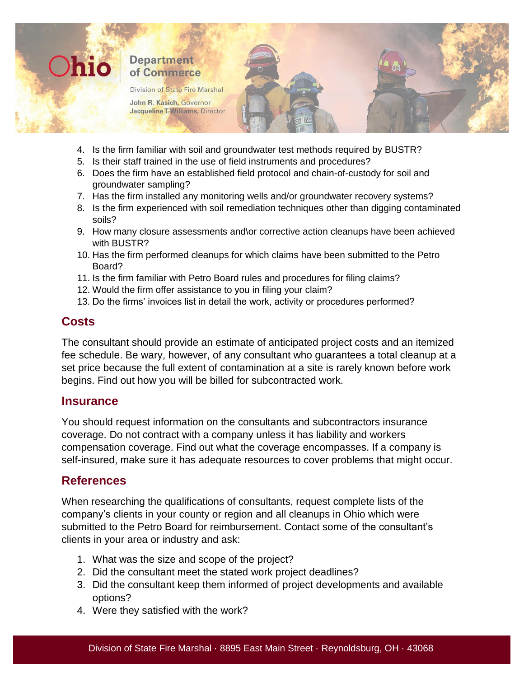

- 4. Is the firm familiar with soil and groundwater test methods required by BUSTR?
- 5. Is their staff trained in the use of field instruments and procedures?
- 6. Does the firm have an established field protocol and chain-of-custody for soil and groundwater sampling?
- 7. Has the firm installed any monitoring wells and/or groundwater recovery systems?
- 8. Is the firm experienced with soil remediation techniques other than digging contaminated soils?
- 9. How many closure assessments and\or corrective action cleanups have been achieved with BUSTR?
- 10. Has the firm performed cleanups for which claims have been submitted to the Petro Board?
- 11. Is the firm familiar with Petro Board rules and procedures for filing claims?
- 12. Would the firm offer assistance to you in filing your claim?
- 13. Do the firms' invoices list in detail the work, activity or procedures performed?

### **Costs**

The consultant should provide an estimate of anticipated project costs and an itemized fee schedule. Be wary, however, of any consultant who guarantees a total cleanup at a set price because the full extent of contamination at a site is rarely known before work begins. Find out how you will be billed for subcontracted work.

#### **Insurance**

You should request information on the consultants and subcontractors insurance coverage. Do not contract with a company unless it has liability and workers compensation coverage. Find out what the coverage encompasses. If a company is self-insured, make sure it has adequate resources to cover problems that might occur.

### **References**

When researching the qualifications of consultants, request complete lists of the company's clients in your county or region and all cleanups in Ohio which were submitted to the Petro Board for reimbursement. Contact some of the consultant's clients in your area or industry and ask:

- 1. What was the size and scope of the project?
- 2. Did the consultant meet the stated work project deadlines?
- 3. Did the consultant keep them informed of project developments and available options?
- 4. Were they satisfied with the work?